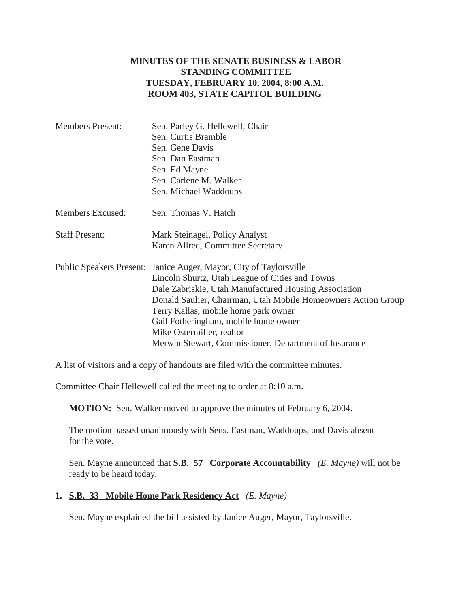## **MINUTES OF THE SENATE BUSINESS & LABOR STANDING COMMITTEE TUESDAY, FEBRUARY 10, 2004, 8:00 A.M. ROOM 403, STATE CAPITOL BUILDING**

| Sen. Parley G. Hellewell, Chair                                    |  |  |
|--------------------------------------------------------------------|--|--|
| Sen. Curtis Bramble                                                |  |  |
| Sen. Gene Davis                                                    |  |  |
| Sen. Dan Eastman                                                   |  |  |
| Sen. Ed Mayne                                                      |  |  |
| Sen. Carlene M. Walker                                             |  |  |
| Sen. Michael Waddoups                                              |  |  |
| Sen. Thomas V. Hatch                                               |  |  |
| Mark Steinagel, Policy Analyst                                     |  |  |
| Karen Allred, Committee Secretary                                  |  |  |
| Public Speakers Present: Janice Auger, Mayor, City of Taylorsville |  |  |
| Lincoln Shurtz, Utah League of Cities and Towns                    |  |  |
| Dale Zabriskie, Utah Manufactured Housing Association              |  |  |
| Donald Saulier, Chairman, Utah Mobile Homeowners Action Group      |  |  |
| Terry Kallas, mobile home park owner                               |  |  |
| Gail Fotheringham, mobile home owner                               |  |  |
| Mike Ostermiller, realtor                                          |  |  |
| Merwin Stewart, Commissioner, Department of Insurance              |  |  |
|                                                                    |  |  |

A list of visitors and a copy of handouts are filed with the committee minutes.

Committee Chair Hellewell called the meeting to order at 8:10 a.m.

**MOTION:** Sen. Walker moved to approve the minutes of February 6, 2004.

The motion passed unanimously with Sens. Eastman, Waddoups, and Davis absent for the vote.

Sen. Mayne announced that **S.B. 57 Corporate Accountability** *(E. Mayne)* will not be ready to be heard today.

## **1. S.B. 33 Mobile Home Park Residency Act** *(E. Mayne)*

Sen. Mayne explained the bill assisted by Janice Auger, Mayor, Taylorsville.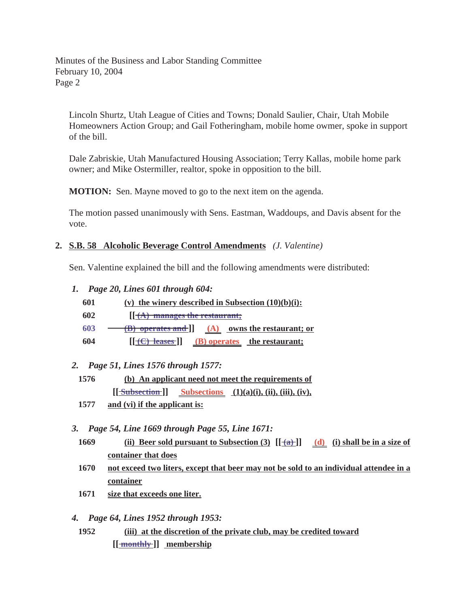Lincoln Shurtz, Utah League of Cities and Towns; Donald Saulier, Chair, Utah Mobile Homeowners Action Group; and Gail Fotheringham, mobile home owmer, spoke in support of the bill.

Dale Zabriskie, Utah Manufactured Housing Association; Terry Kallas, mobile home park owner; and Mike Ostermiller, realtor, spoke in opposition to the bill.

**MOTION:** Sen. Mayne moved to go to the next item on the agenda.

The motion passed unanimously with Sens. Eastman, Waddoups, and Davis absent for the vote.

## **2. S.B. 58 Alcoholic Beverage Control Amendments** *(J. Valentine)*

Sen. Valentine explained the bill and the following amendments were distributed:

- *1. Page 20, Lines 601 through 604:*
	- **601 (v) the winery described in Subsection (10)(b)(i):**
	- **602 [[ (A) manages the restaurant;**
	- **603 (B) operates and ]] (A) owns the restaurant; or**
	- **604 [** $[\text{+C}$ ) leases **]**] **(B)** operates the restaurant;

# *2. Page 51, Lines 1576 through 1577:*

- **1576 (b) An applicant need not meet the requirements of**  $[\frac{\text{Subsection}}{\text{Subsection}}]$  Subsections (1)(a)(i), (ii), (iii), (iv),
- **1577 and (vi) if the applicant is:**

*3. Page 54, Line 1669 through Page 55, Line 1671:*

- **1669** (ii) Beer sold pursuant to Subsection (3)  $[\frac{1}{2}]$  (d) (i) shall be in a size of **container that does**
- **1670 not exceed two liters, except that beer may not be sold to an individual attendee in a container**
- **1671 size that exceeds one liter.**
- *4. Page 64, Lines 1952 through 1953:*
	- **1952 (iii) at the discretion of the private club, may be credited toward [[** monthly ]] membership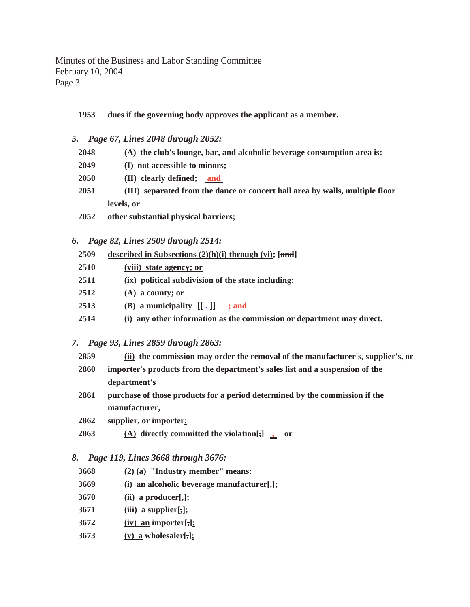### **1953 dues if the governing body approves the applicant as a member.**

|  |  |  |  |  | 5. Page 67, Lines 2048 through 2052: |  |
|--|--|--|--|--|--------------------------------------|--|
|--|--|--|--|--|--------------------------------------|--|

- **2048 (A) the club's lounge, bar, and alcoholic beverage consumption area is: 2049 (I) not accessible to minors; 2050 (II) clearly defined; and 2051 (III) separated from the dance or concert hall area by walls, multiple floor levels, or 2052 other substantial physical barriers;**
- 
- *6. Page 82, Lines 2509 through 2514:*

| 2509 | described in Subsections $(2)(h)(i)$ through $(vi)$ ; [and] |  |  |  |  |
|------|-------------------------------------------------------------|--|--|--|--|
| 2510 | (viii) state agency; or                                     |  |  |  |  |
| 2511 | (ix) political subdivision of the state including:          |  |  |  |  |
| 2512 | $(A)$ a county; or                                          |  |  |  |  |
| 2513 | (B) a municipality $[[-]]$<br>$\therefore$ and              |  |  |  |  |

**2514 (i) any other information as the commission or department may direct.** 

### *7. Page 93, Lines 2859 through 2863:*

| 2859<br>(ii) the commission may order the removal of the manufacturer's, supplier's, or |  |
|-----------------------------------------------------------------------------------------|--|
|-----------------------------------------------------------------------------------------|--|

- **2860 importer's products from the department's sales list and a suspension of the department's**
- **2861 purchase of those products for a period determined by the commission if the manufacturer,**
- **2862 supplier, or importer:**
- **2863 (A) directly committed the violation[,] ; or**

#### *8. Page 119, Lines 3668 through 3676:*

- **3668 (2) (a) "Industry member" means:**
- **3669 (i) an alcoholic beverage manufacturer[,];**
- **3670 (ii) a producer[,];**
- **3671 (iii) a supplier[,];**
- **3672 (iv) an importer[,];**
- **3673 (v) a wholesaler[,];**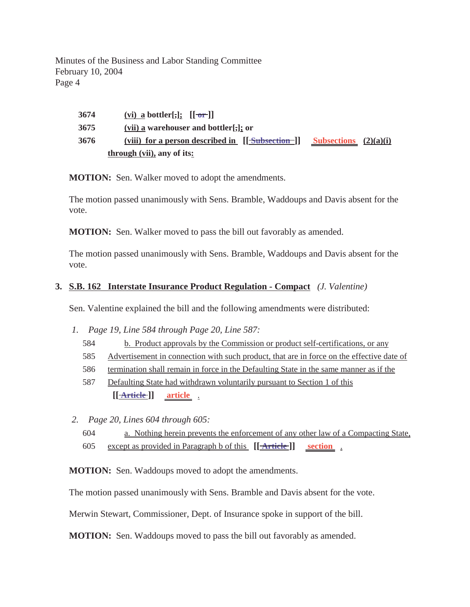| 3674 | (vi) a bottler[,]; $[[\overline{\text{or}}]]$                 |                                |  |
|------|---------------------------------------------------------------|--------------------------------|--|
| 3675 | (vii) a warehouser and bottler[ $\frac{1}{2}$ ]; or           |                                |  |
| 3676 | (viii) for a person described in $[\sqrt{\text{Subsection}}]$ | <b>Subsections</b> $(2)(a)(i)$ |  |
|      | through (vii), any of its:                                    |                                |  |

**MOTION:** Sen. Walker moved to adopt the amendments.

The motion passed unanimously with Sens. Bramble, Waddoups and Davis absent for the vote.

**MOTION:** Sen. Walker moved to pass the bill out favorably as amended.

The motion passed unanimously with Sens. Bramble, Waddoups and Davis absent for the vote.

## **3. S.B. 162 Interstate Insurance Product Regulation - Compact** *(J. Valentine)*

Sen. Valentine explained the bill and the following amendments were distributed:

- *1. Page 19, Line 584 through Page 20, Line 587:*
	- 584 b. Product approvals by the Commission or product self-certifications, or any
	- 585 Advertisement in connection with such product, that are in force on the effective date of
	- 586 termination shall remain in force in the Defaulting State in the same manner as if the
	- 587 Defaulting State had withdrawn voluntarily pursuant to Section 1 of this **[[ ]] Article article** .
- *2. Page 20, Lines 604 through 605:*
	- 604 a. Nothing herein prevents the enforcement of any other law of a Compacting State, 605 except as provided in Paragraph b of this  $[[ \overline{\text{Article}}] ]$  section

**MOTION:** Sen. Waddoups moved to adopt the amendments.

The motion passed unanimously with Sens. Bramble and Davis absent for the vote.

Merwin Stewart, Commissioner, Dept. of Insurance spoke in support of the bill.

**MOTION:** Sen. Waddoups moved to pass the bill out favorably as amended.